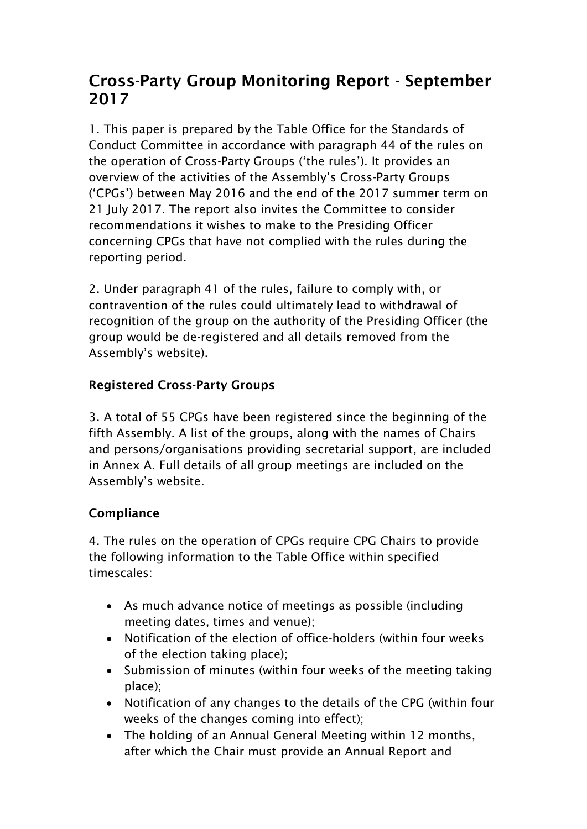# Cross-Party Group Monitoring Report - September 2017

1. This paper is prepared by the Table Office for the Standards of Conduct Committee in accordance with paragraph 44 of the rules on the operation of Cross-Party Groups ('the rules'). It provides an overview of the activities of the Assembly's Cross-Party Groups ('CPGs') between May 2016 and the end of the 2017 summer term on 21 July 2017. The report also invites the Committee to consider recommendations it wishes to make to the Presiding Officer concerning CPGs that have not complied with the rules during the reporting period.

2. Under paragraph 41 of the rules, failure to comply with, or contravention of the rules could ultimately lead to withdrawal of recognition of the group on the authority of the Presiding Officer (the group would be de-registered and all details removed from the Assembly's website).

## Registered Cross-Party Groups

3. A total of 55 CPGs have been registered since the beginning of the fifth Assembly. A list of the groups, along with the names of Chairs and persons/organisations providing secretarial support, are included in Annex A. Full details of all group meetings are included on the Assembly's website.

#### **Compliance**

4. The rules on the operation of CPGs require CPG Chairs to provide the following information to the Table Office within specified timescales:

- As much advance notice of meetings as possible (including meeting dates, times and venue);
- Notification of the election of office-holders (within four weeks of the election taking place);
- Submission of minutes (within four weeks of the meeting taking place);
- Notification of any changes to the details of the CPG (within four weeks of the changes coming into effect);
- The holding of an Annual General Meeting within 12 months, after which the Chair must provide an Annual Report and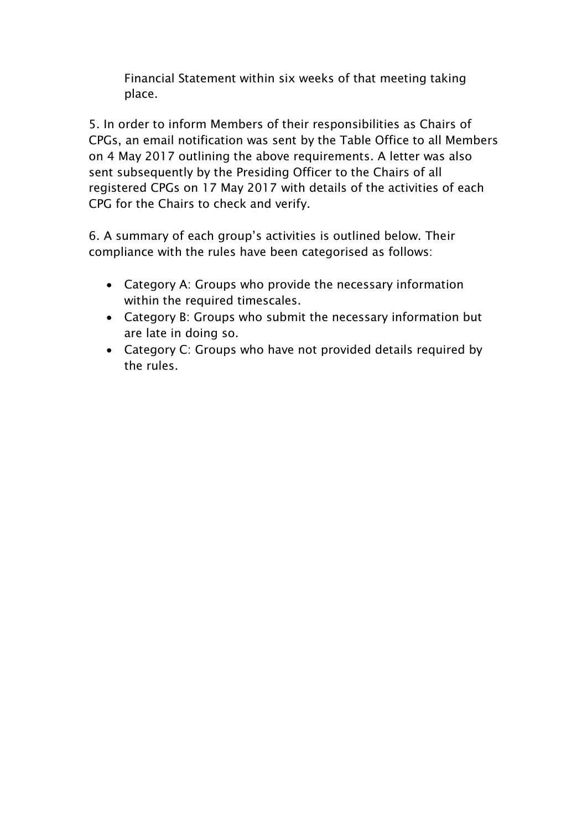Financial Statement within six weeks of that meeting taking place.

5. In order to inform Members of their responsibilities as Chairs of CPGs, an email notification was sent by the Table Office to all Members on 4 May 2017 outlining the above requirements. A letter was also sent subsequently by the Presiding Officer to the Chairs of all registered CPGs on 17 May 2017 with details of the activities of each CPG for the Chairs to check and verify.

6. A summary of each group's activities is outlined below. Their compliance with the rules have been categorised as follows:

- Category A: Groups who provide the necessary information within the required timescales.
- Category B: Groups who submit the necessary information but are late in doing so.
- Category C: Groups who have not provided details required by the rules.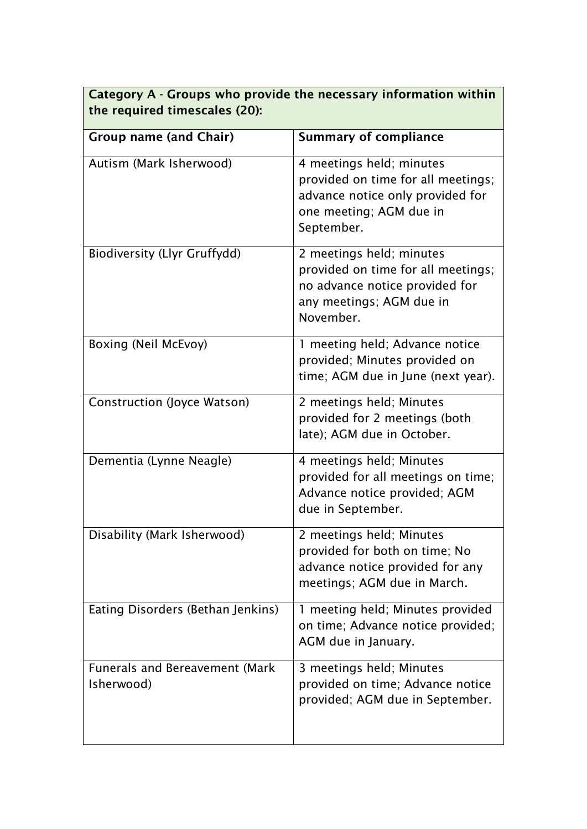# Category A - Groups who provide the necessary information within the required timescales (20):

| <b>Group name (and Chair)</b>                       | <b>Summary of compliance</b>                                                                                                                |
|-----------------------------------------------------|---------------------------------------------------------------------------------------------------------------------------------------------|
| Autism (Mark Isherwood)                             | 4 meetings held; minutes<br>provided on time for all meetings;<br>advance notice only provided for<br>one meeting; AGM due in<br>September. |
| <b>Biodiversity (Llyr Gruffydd)</b>                 | 2 meetings held; minutes<br>provided on time for all meetings;<br>no advance notice provided for<br>any meetings; AGM due in<br>November.   |
| Boxing (Neil McEvoy)                                | 1 meeting held; Advance notice<br>provided; Minutes provided on<br>time; AGM due in June (next year).                                       |
| <b>Construction (Joyce Watson)</b>                  | 2 meetings held; Minutes<br>provided for 2 meetings (both<br>late); AGM due in October.                                                     |
| Dementia (Lynne Neagle)                             | 4 meetings held; Minutes<br>provided for all meetings on time;<br>Advance notice provided; AGM<br>due in September.                         |
| Disability (Mark Isherwood)                         | 2 meetings held; Minutes<br>provided for both on time; No<br>advance notice provided for any<br>meetings; AGM due in March.                 |
| Eating Disorders (Bethan Jenkins)                   | 1 meeting held; Minutes provided<br>on time; Advance notice provided;<br>AGM due in January.                                                |
| <b>Funerals and Bereavement (Mark</b><br>Isherwood) | 3 meetings held; Minutes<br>provided on time; Advance notice<br>provided; AGM due in September.                                             |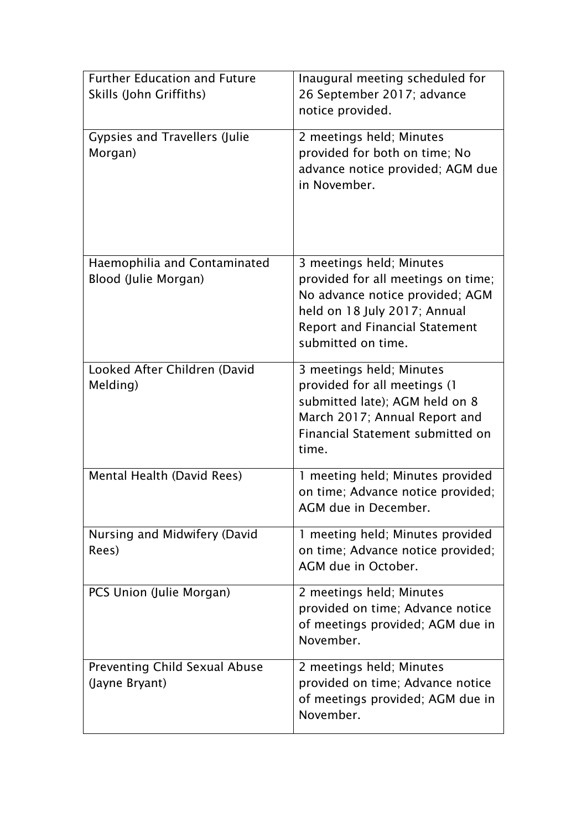| <b>Further Education and Future</b><br>Skills (John Griffiths) | Inaugural meeting scheduled for<br>26 September 2017; advance<br>notice provided.                                                                                                                |
|----------------------------------------------------------------|--------------------------------------------------------------------------------------------------------------------------------------------------------------------------------------------------|
| <b>Gypsies and Travellers (Julie</b><br>Morgan)                | 2 meetings held; Minutes<br>provided for both on time; No<br>advance notice provided; AGM due<br>in November.                                                                                    |
| Haemophilia and Contaminated<br>Blood (Julie Morgan)           | 3 meetings held; Minutes<br>provided for all meetings on time;<br>No advance notice provided; AGM<br>held on 18 July 2017; Annual<br><b>Report and Financial Statement</b><br>submitted on time. |
| Looked After Children (David<br>Melding)                       | 3 meetings held; Minutes<br>provided for all meetings (1<br>submitted late); AGM held on 8<br>March 2017; Annual Report and<br>Financial Statement submitted on<br>time.                         |
| Mental Health (David Rees)                                     | 1 meeting held; Minutes provided<br>on time; Advance notice provided;<br>AGM due in December.                                                                                                    |
| Nursing and Midwifery (David<br>Rees)                          | 1 meeting held; Minutes provided<br>on time; Advance notice provided;<br>AGM due in October.                                                                                                     |
| PCS Union (Julie Morgan)                                       | 2 meetings held; Minutes<br>provided on time; Advance notice<br>of meetings provided; AGM due in<br>November.                                                                                    |
| <b>Preventing Child Sexual Abuse</b><br>(Jayne Bryant)         | 2 meetings held; Minutes<br>provided on time; Advance notice<br>of meetings provided; AGM due in<br>November.                                                                                    |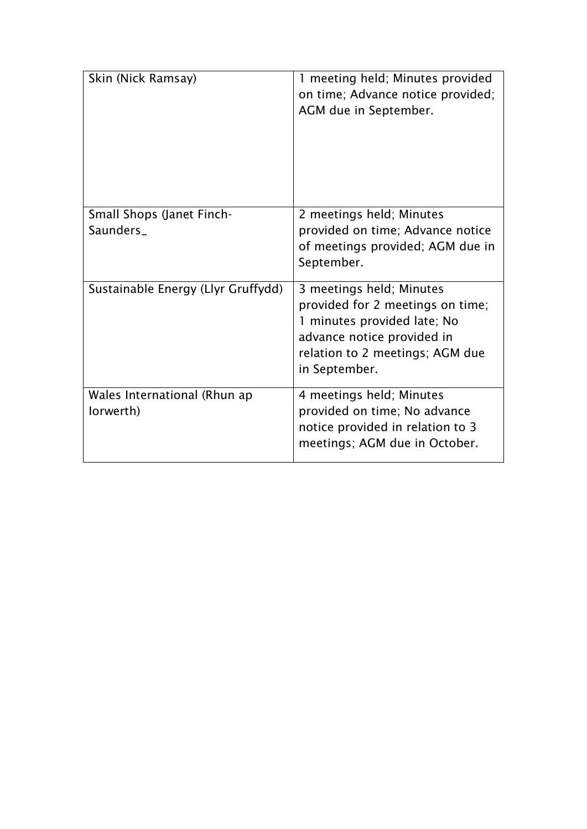| Skin (Nick Ramsay)                            | 1 meeting held; Minutes provided<br>on time; Advance notice provided;<br>AGM due in September.                                                                                |
|-----------------------------------------------|-------------------------------------------------------------------------------------------------------------------------------------------------------------------------------|
| <b>Small Shops (Janet Finch-</b><br>Saunders_ | 2 meetings held; Minutes<br>provided on time; Advance notice<br>of meetings provided; AGM due in<br>September.                                                                |
| Sustainable Energy (Llyr Gruffydd)            | 3 meetings held; Minutes<br>provided for 2 meetings on time;<br>1 minutes provided late; No<br>advance notice provided in<br>relation to 2 meetings; AGM due<br>in September. |
| Wales International (Rhun ap<br>lorwerth)     | 4 meetings held; Minutes<br>provided on time; No advance<br>notice provided in relation to 3<br>meetings; AGM due in October.                                                 |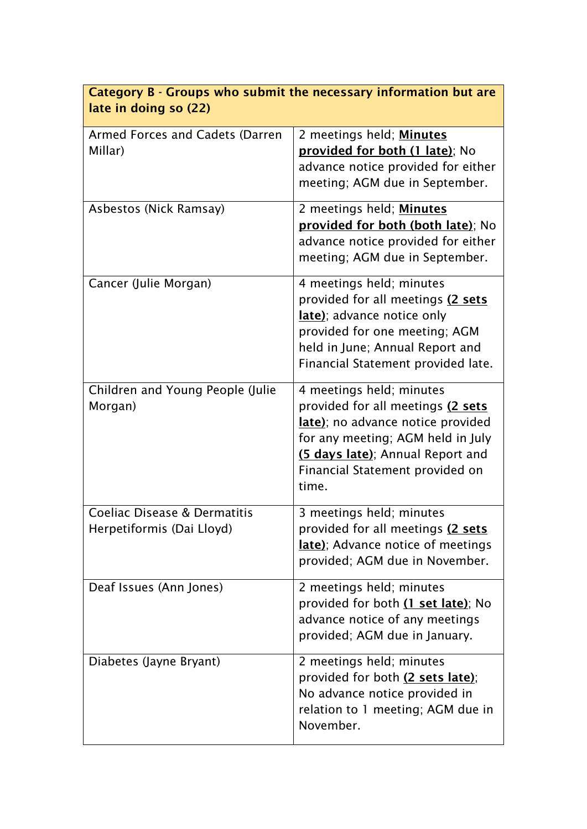| Category B - Groups who submit the necessary information but are<br>late in doing so (22) |                                                                                                                                                                                                                         |  |  |
|-------------------------------------------------------------------------------------------|-------------------------------------------------------------------------------------------------------------------------------------------------------------------------------------------------------------------------|--|--|
| Armed Forces and Cadets (Darren<br>Millar)                                                | 2 meetings held; Minutes<br>provided for both (1 late); No<br>advance notice provided for either<br>meeting; AGM due in September.                                                                                      |  |  |
| Asbestos (Nick Ramsay)                                                                    | 2 meetings held; Minutes<br>provided for both (both late); No<br>advance notice provided for either<br>meeting; AGM due in September.                                                                                   |  |  |
| Cancer (Julie Morgan)                                                                     | 4 meetings held; minutes<br>provided for all meetings (2 sets<br>late); advance notice only<br>provided for one meeting; AGM<br>held in June; Annual Report and<br>Financial Statement provided late.                   |  |  |
| Children and Young People (Julie<br>Morgan)                                               | 4 meetings held; minutes<br>provided for all meetings (2 sets<br>late); no advance notice provided<br>for any meeting; AGM held in July<br>(5 days late); Annual Report and<br>Financial Statement provided on<br>time. |  |  |
| Coeliac Disease & Dermatitis<br>Herpetiformis (Dai Lloyd)                                 | 3 meetings held; minutes<br>provided for all meetings (2 sets<br><b>late</b> ); Advance notice of meetings<br>provided; AGM due in November.                                                                            |  |  |
| Deaf Issues (Ann Jones)                                                                   | 2 meetings held; minutes<br>provided for both (1 set late); No<br>advance notice of any meetings<br>provided; AGM due in January.                                                                                       |  |  |
| Diabetes (Jayne Bryant)                                                                   | 2 meetings held; minutes<br>provided for both (2 sets late);<br>No advance notice provided in<br>relation to 1 meeting; AGM due in<br>November.                                                                         |  |  |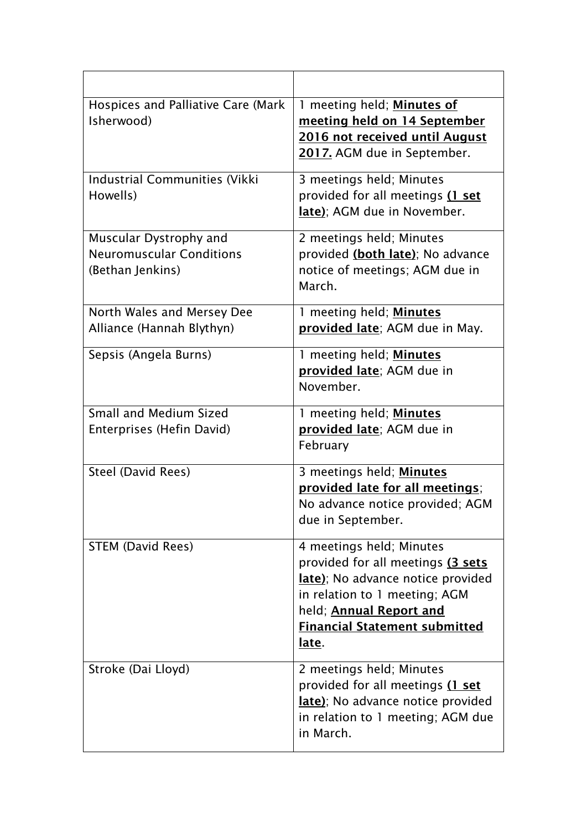| Hospices and Palliative Care (Mark<br>Isherwood)                              | 1 meeting held; Minutes of<br>meeting held on 14 September<br>2016 not received until August<br>2017. AGM due in September.                                                                                     |
|-------------------------------------------------------------------------------|-----------------------------------------------------------------------------------------------------------------------------------------------------------------------------------------------------------------|
| <b>Industrial Communities (Vikki</b><br>Howells)                              | 3 meetings held; Minutes<br>provided for all meetings (1 set<br>late); AGM due in November.                                                                                                                     |
| Muscular Dystrophy and<br><b>Neuromuscular Conditions</b><br>(Bethan Jenkins) | 2 meetings held; Minutes<br>provided (both late); No advance<br>notice of meetings; AGM due in<br>March.                                                                                                        |
| North Wales and Mersey Dee<br>Alliance (Hannah Blythyn)                       | 1 meeting held; Minutes<br>provided late; AGM due in May.                                                                                                                                                       |
| Sepsis (Angela Burns)                                                         | 1 meeting held; Minutes<br>provided late; AGM due in<br>November.                                                                                                                                               |
| Small and Medium Sized<br>Enterprises (Hefin David)                           | 1 meeting held; Minutes<br>provided late; AGM due in<br>February                                                                                                                                                |
| <b>Steel (David Rees)</b>                                                     | 3 meetings held; Minutes<br>provided late for all meetings;<br>No advance notice provided; AGM<br>due in September.                                                                                             |
| <b>STEM (David Rees)</b>                                                      | 4 meetings held; Minutes<br>provided for all meetings (3 sets<br>late); No advance notice provided<br>in relation to 1 meeting; AGM<br>held; Annual Report and<br><b>Financial Statement submitted</b><br>late. |
| Stroke (Dai Lloyd)                                                            | 2 meetings held; Minutes<br>provided for all meetings (1 set<br>late); No advance notice provided<br>in relation to 1 meeting; AGM due<br>in March.                                                             |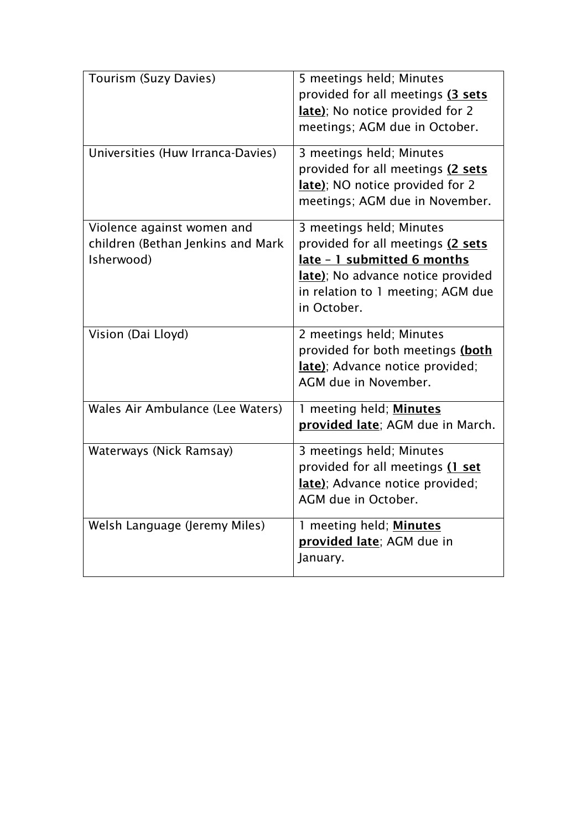| Tourism (Suzy Davies)                                                         | 5 meetings held; Minutes<br>provided for all meetings (3 sets<br>late); No notice provided for 2<br>meetings; AGM due in October.                                                     |
|-------------------------------------------------------------------------------|---------------------------------------------------------------------------------------------------------------------------------------------------------------------------------------|
| Universities (Huw Irranca-Davies)                                             | 3 meetings held; Minutes<br>provided for all meetings (2 sets<br>late); NO notice provided for 2<br>meetings; AGM due in November.                                                    |
| Violence against women and<br>children (Bethan Jenkins and Mark<br>Isherwood) | 3 meetings held; Minutes<br>provided for all meetings (2 sets<br>late - 1 submitted 6 months<br>late); No advance notice provided<br>in relation to 1 meeting; AGM due<br>in October. |
| Vision (Dai Lloyd)                                                            | 2 meetings held; Minutes<br>provided for both meetings (both<br>late); Advance notice provided;<br>AGM due in November.                                                               |
| Wales Air Ambulance (Lee Waters)                                              | 1 meeting held; Minutes<br>provided late; AGM due in March.                                                                                                                           |
| Waterways (Nick Ramsay)                                                       | 3 meetings held; Minutes<br>provided for all meetings (1 set<br>late); Advance notice provided;<br>AGM due in October.                                                                |
| Welsh Language (Jeremy Miles)                                                 | 1 meeting held; Minutes<br>provided late; AGM due in<br>January.                                                                                                                      |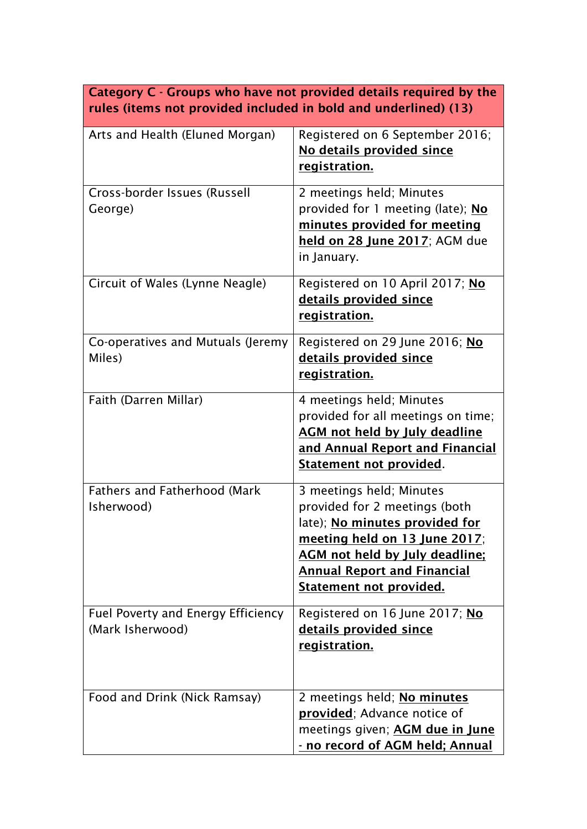| Category C - Groups who have not provided details required by the<br>rules (items not provided included in bold and underlined) (13) |                                                                                                                                                                                                                                               |  |
|--------------------------------------------------------------------------------------------------------------------------------------|-----------------------------------------------------------------------------------------------------------------------------------------------------------------------------------------------------------------------------------------------|--|
| Arts and Health (Eluned Morgan)                                                                                                      | Registered on 6 September 2016;<br>No details provided since<br>registration.                                                                                                                                                                 |  |
| Cross-border Issues (Russell<br>George)                                                                                              | 2 meetings held; Minutes<br>provided for 1 meeting (late); No<br>minutes provided for meeting<br>held on 28 June 2017; AGM due<br>in January.                                                                                                 |  |
| Circuit of Wales (Lynne Neagle)                                                                                                      | Registered on 10 April 2017; No<br><u>details provided since</u><br>registration.                                                                                                                                                             |  |
| Co-operatives and Mutuals (Jeremy<br>Miles)                                                                                          | Registered on 29 June 2016; No<br>details provided since<br><u>registration.</u>                                                                                                                                                              |  |
| Faith (Darren Millar)                                                                                                                | 4 meetings held; Minutes<br>provided for all meetings on time;<br><b>AGM</b> not held by July deadline<br>and Annual Report and Financial<br><u>Statement not provided</u> .                                                                  |  |
| <b>Fathers and Fatherhood (Mark</b><br>Isherwood)                                                                                    | 3 meetings held; Minutes<br>provided for 2 meetings (both<br>late); No minutes provided for<br>meeting held on 13 June 2017;<br><b>AGM</b> not held by July deadline;<br><b>Annual Report and Financial</b><br><u>Statement not provided.</u> |  |
| <b>Fuel Poverty and Energy Efficiency</b><br>(Mark Isherwood)                                                                        | Registered on 16 June 2017; No<br><u>details provided since</u><br>registration.                                                                                                                                                              |  |
| Food and Drink (Nick Ramsay)                                                                                                         | 2 meetings held; No minutes<br>provided; Advance notice of<br>meetings given; AGM due in June<br><u>- no record of AGM held; Annual</u>                                                                                                       |  |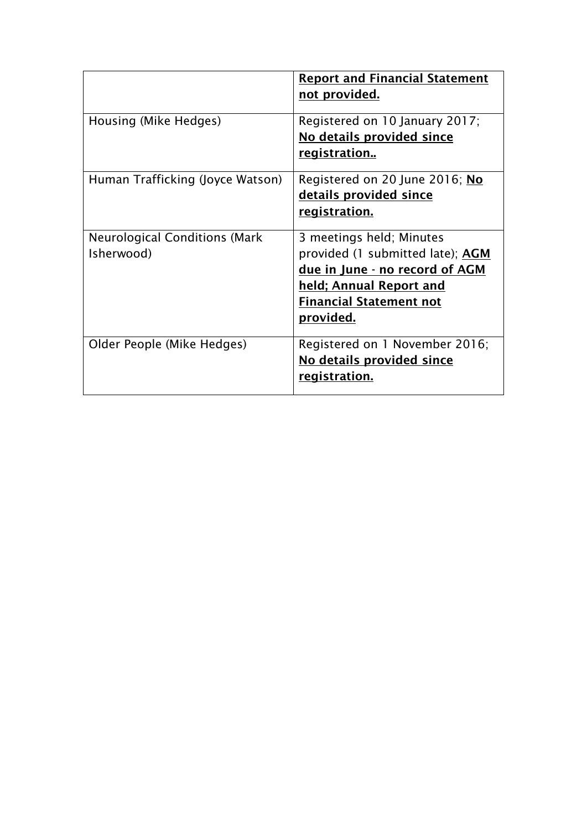|                                                    | <b>Report and Financial Statement</b><br>not provided.                                                                                                                                 |
|----------------------------------------------------|----------------------------------------------------------------------------------------------------------------------------------------------------------------------------------------|
| Housing (Mike Hedges)                              | Registered on 10 January 2017;<br>No details provided since<br><u>registration</u>                                                                                                     |
| Human Trafficking (Joyce Watson)                   | Registered on 20 June 2016; No<br>details provided since<br>registration.                                                                                                              |
| <b>Neurological Conditions (Mark</b><br>Isherwood) | 3 meetings held; Minutes<br>provided (1 submitted late); AGM<br>due in June - no record of AGM<br><u>held; Annual Report and</u><br><b>Financial Statement not</b><br><u>provided.</u> |
| Older People (Mike Hedges)                         | Registered on 1 November 2016;<br>No details provided since<br>registration.                                                                                                           |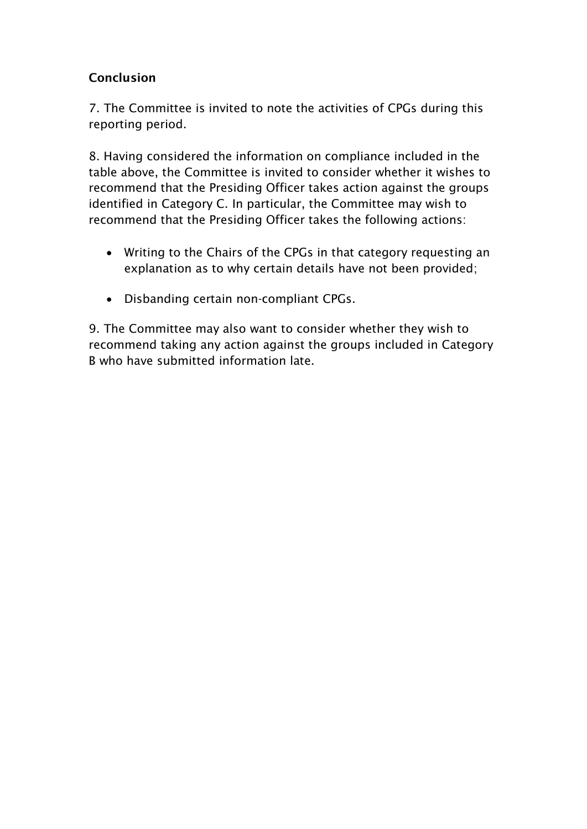### Conclusion

7. The Committee is invited to note the activities of CPGs during this reporting period.

8. Having considered the information on compliance included in the table above, the Committee is invited to consider whether it wishes to recommend that the Presiding Officer takes action against the groups identified in Category C. In particular, the Committee may wish to recommend that the Presiding Officer takes the following actions:

- Writing to the Chairs of the CPGs in that category requesting an explanation as to why certain details have not been provided;
- Disbanding certain non-compliant CPGs.

9. The Committee may also want to consider whether they wish to recommend taking any action against the groups included in Category B who have submitted information late.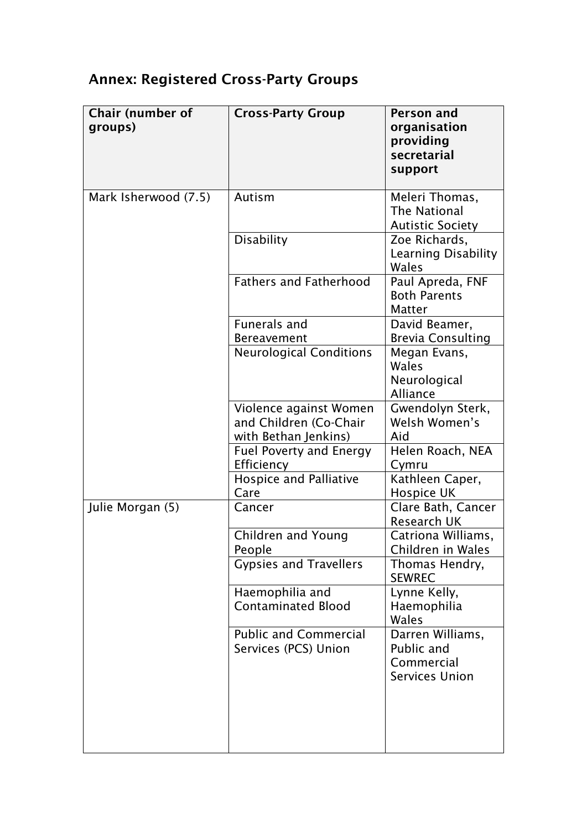# Annex: Registered Cross-Party Groups

| <b>Chair (number of</b><br>groups) | <b>Cross-Party Group</b>                                                 | Person and<br>organisation<br>providing<br>secretarial<br>support     |
|------------------------------------|--------------------------------------------------------------------------|-----------------------------------------------------------------------|
| Mark Isherwood (7.5)               | Autism                                                                   | Meleri Thomas,<br>The National<br><b>Autistic Society</b>             |
|                                    | <b>Disability</b>                                                        | Zoe Richards,<br><b>Learning Disability</b><br>Wales                  |
|                                    | <b>Fathers and Fatherhood</b>                                            | Paul Apreda, FNF<br><b>Both Parents</b><br><b>Matter</b>              |
|                                    | <b>Funerals and</b>                                                      | David Beamer,                                                         |
|                                    | <b>Bereavement</b>                                                       | <b>Brevia Consulting</b>                                              |
|                                    | <b>Neurological Conditions</b>                                           | Megan Evans,<br>Wales<br>Neurological<br>Alliance                     |
|                                    | Violence against Women<br>and Children (Co-Chair<br>with Bethan Jenkins) | Gwendolyn Sterk,<br>Welsh Women's<br>Aid                              |
|                                    | <b>Fuel Poverty and Energy</b><br>Efficiency                             | Helen Roach, NEA<br>Cymru                                             |
|                                    | <b>Hospice and Palliative</b><br>Care                                    | Kathleen Caper,<br><b>Hospice UK</b>                                  |
| Julie Morgan (5)                   | Cancer                                                                   | Clare Bath, Cancer<br><b>Research UK</b>                              |
|                                    | Children and Young<br>People                                             | Catriona Williams,<br>Children in Wales                               |
|                                    | <b>Gypsies and Travellers</b>                                            | Thomas Hendry,<br><b>SEWREC</b>                                       |
|                                    | Haemophilia and<br><b>Contaminated Blood</b>                             | Lynne Kelly,<br>Haemophilia<br>Wales                                  |
|                                    | <b>Public and Commercial</b><br>Services (PCS) Union                     | Darren Williams,<br>Public and<br>Commercial<br><b>Services Union</b> |
|                                    |                                                                          |                                                                       |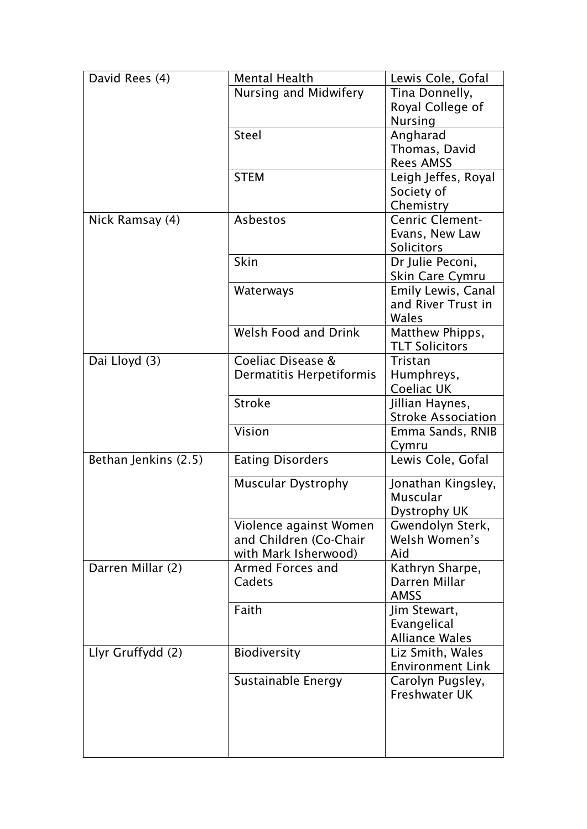| David Rees (4)       | <b>Mental Health</b>      | Lewis Cole, Gofal         |
|----------------------|---------------------------|---------------------------|
|                      | Nursing and Midwifery     | Tina Donnelly,            |
|                      |                           | Royal College of          |
|                      |                           | <b>Nursing</b>            |
|                      | <b>Steel</b>              | Angharad                  |
|                      |                           | Thomas, David             |
|                      |                           | <b>Rees AMSS</b>          |
|                      | <b>STEM</b>               | Leigh Jeffes, Royal       |
|                      |                           | Society of                |
|                      |                           | Chemistry                 |
| Nick Ramsay (4)      | Asbestos                  | <b>Cenric Clement-</b>    |
|                      |                           | Evans, New Law            |
|                      |                           | <b>Solicitors</b>         |
|                      | Skin                      | Dr Julie Peconi,          |
|                      |                           | Skin Care Cymru           |
|                      | Waterways                 | Emily Lewis, Canal        |
|                      |                           | and River Trust in        |
|                      |                           | Wales                     |
|                      | Welsh Food and Drink      | Matthew Phipps,           |
|                      |                           | <b>TLT Solicitors</b>     |
| Dai Lloyd (3)        | Coeliac Disease &         | Tristan                   |
|                      | Dermatitis Herpetiformis  | Humphreys,                |
|                      |                           | Coeliac UK                |
|                      | <b>Stroke</b>             | Jillian Haynes,           |
|                      |                           | <b>Stroke Association</b> |
|                      | Vision                    | Emma Sands, RNIB          |
|                      |                           | Cymru                     |
| Bethan Jenkins (2.5) | <b>Eating Disorders</b>   | Lewis Cole, Gofal         |
|                      | <b>Muscular Dystrophy</b> | Jonathan Kingsley,        |
|                      |                           | <b>Muscular</b>           |
|                      |                           | Dystrophy UK              |
|                      | Violence against Women    | Gwendolyn Sterk,          |
|                      | and Children (Co-Chair    | Welsh Women's             |
|                      | with Mark Isherwood)      | Aid                       |
| Darren Millar (2)    | Armed Forces and          | Kathryn Sharpe,           |
|                      | Cadets                    | Darren Millar             |
|                      |                           | <b>AMSS</b>               |
|                      | Faith                     | Jim Stewart,              |
|                      |                           | Evangelical               |
|                      |                           | <b>Alliance Wales</b>     |
| Llyr Gruffydd (2)    | <b>Biodiversity</b>       | Liz Smith, Wales          |
|                      |                           | <b>Environment Link</b>   |
|                      | Sustainable Energy        | Carolyn Pugsley,          |
|                      |                           | <b>Freshwater UK</b>      |
|                      |                           |                           |
|                      |                           |                           |
|                      |                           |                           |
|                      |                           |                           |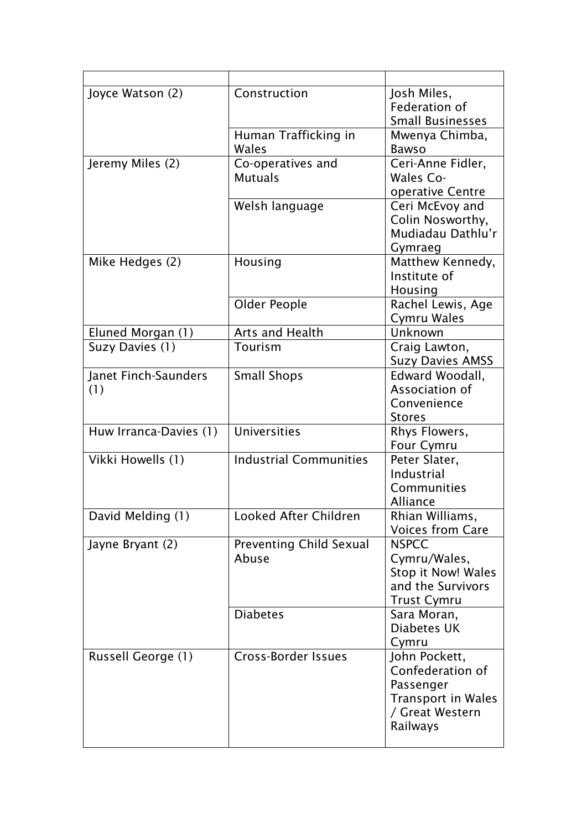| Joyce Watson (2)            | Construction                            | Josh Miles,<br>Federation of<br><b>Small Businesses</b>                                                    |
|-----------------------------|-----------------------------------------|------------------------------------------------------------------------------------------------------------|
|                             | Human Trafficking in<br>Wales           | Mwenya Chimba,<br><b>Bawso</b>                                                                             |
| Jeremy Miles (2)            | Co-operatives and<br><b>Mutuals</b>     | Ceri-Anne Fidler,<br>Wales Co-<br>operative Centre                                                         |
|                             | Welsh language                          | Ceri McEvoy and<br>Colin Nosworthy,<br>Mudiadau Dathlu'r<br>Gymraeg                                        |
| Mike Hedges (2)             | Housing                                 | Matthew Kennedy,<br>Institute of<br>Housing                                                                |
|                             | Older People                            | Rachel Lewis, Age<br>Cymru Wales                                                                           |
| Eluned Morgan (1)           | Arts and Health                         | Unknown                                                                                                    |
| Suzy Davies (1)             | Tourism                                 | Craig Lawton,<br><b>Suzy Davies AMSS</b>                                                                   |
| Janet Finch-Saunders<br>(1) | <b>Small Shops</b>                      | Edward Woodall,<br>Association of<br>Convenience<br><b>Stores</b>                                          |
| Huw Irranca-Davies (1)      | Universities                            | Rhys Flowers,<br>Four Cymru                                                                                |
| Vikki Howells (1)           | <b>Industrial Communities</b>           | Peter Slater,<br>Industrial<br>Communities<br>Alliance                                                     |
| David Melding (1)           | Looked After Children                   | Rhian Williams,<br><b>Voices from Care</b>                                                                 |
| Jayne Bryant (2)            | <b>Preventing Child Sexual</b><br>Abuse | <b>NSPCC</b><br>Cymru/Wales,<br>Stop it Now! Wales<br>and the Survivors<br><b>Trust Cymru</b>              |
|                             | <b>Diabetes</b>                         | Sara Moran,<br>Diabetes UK<br>Cymru                                                                        |
| Russell George (1)          | Cross-Border Issues                     | John Pockett,<br>Confederation of<br>Passenger<br><b>Transport in Wales</b><br>/ Great Western<br>Railways |